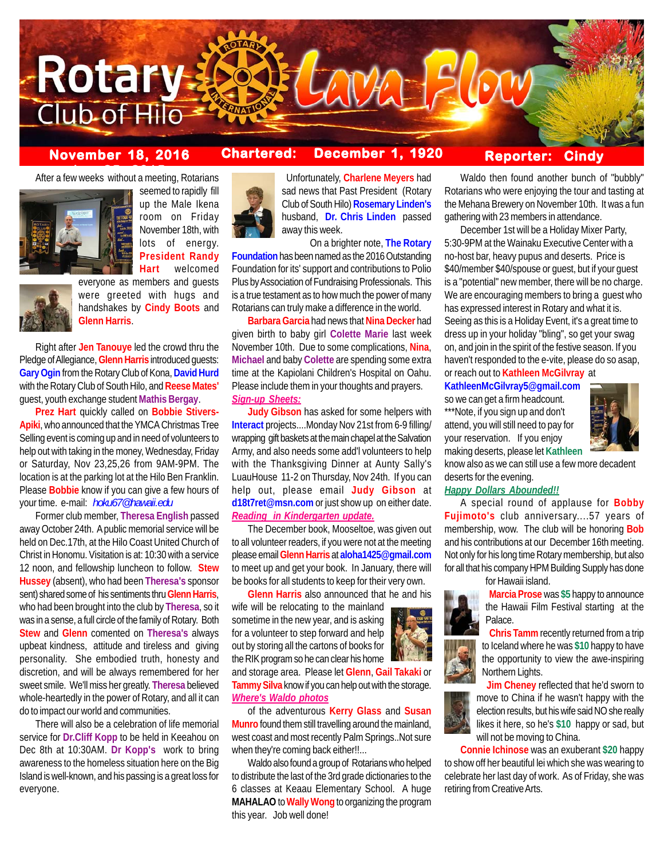

# **November 18, 2016 Chartered: December 1, 1920**

**After a few weeks without a meeting, Rotarians** 



seemed to rapidly fill up the Male Ikena room on Friday November 18th, with lots of energy. **President Randy Hart** welcomed



everyone as members and guests were greeted with hugs and handshakes by **Cindy Boots** and **Glenn Harris**.

Right after **Jen Tanouye** led the crowd thru the Pledge of Allegiance, **Glenn Harris** introduced guests: **Gary Ogin** from the Rotary Club of Kona, **David Hurd** with the Rotary Club of South Hilo, and **Reese Mates'** guest, youth exchange student **Mathis Bergay**.

**Prez Hart** quickly called on **Bobbie Stivers-Apiki**, who announced that the YMCA Christmas Tree Selling event is coming up and in need of volunteers to help out with taking in the money, Wednesday, Friday or Saturday, Nov 23,25,26 from 9AM-9PM. The location is at the parking lot at the Hilo Ben Franklin. Please **Bobbie** know if you can give a few hours of your time. e-mail: *hoku67@hawaii.edu*

Former club member, **Theresa English** passed away October 24th. A public memorial service will be held on Dec.17th, at the Hilo Coast United Church of Christ in Honomu. Visitation is at: 10:30 with a service 12 noon, and fellowship luncheon to follow. **Stew Hussey** (absent), who had been **Theresa's** sponsor sent) shared some of his sentiments thru **Glenn Harris**, who had been brought into the club by **Theresa**, so it was in a sense, a full circle of the family of Rotary. Both **Stew** and **Glenn** comented on **Theresa's** always upbeat kindness, attitude and tireless and giving personality. She embodied truth, honesty and discretion, and will be always remembered for her sweet smile. We'll miss her greatly. **Theresa** believed whole-heartedly in the power of Rotary, and all it can do to impact our world and communities.

There will also be a celebration of life memorial service for **Dr.Cliff Kopp** to be held in Keeahou on Dec 8th at 10:30AM. **Dr Kopp's** work to bring awareness to the homeless situation here on the Big Island is well-known, and his passing is a great loss for everyone.



 Unfortunately, **Charlene Meyers** had sad news that Past President (Rotary Club of South Hilo) **Rosemary Linden's** husband, **Dr. Chris Linden** passed away this week.

On a brighter note, **The Rotary Foundation** has been named as the 2016 Outstanding Foundation for its' support and contributions to Polio Plus by Association of Fundraising Professionals. This is a true testament as to how much the power of many Rotarians can truly make a difference in the world.

**Barbara Garcia** had news that **Nina Decker** had given birth to baby girl **Colette Marie** last week November 10th. Due to some complications, **Nina**, **Michael** and baby **Colette** are spending some extra time at the Kapiolani Children's Hospital on Oahu. Please include them in your thoughts and prayers. *Sign-up Sheets:*

**Judy Gibson** has asked for some helpers with **Interact** projects....Monday Nov 21st from 6-9 filling/ wrapping gift baskets at the main chapel at the Salvation Army, and also needs some add'l volunteers to help with the Thanksgiving Dinner at Aunty Sally's LuauHouse 11-2 on Thursday, Nov 24th. If you can help out, please email **Judy Gibson** at **d18t7ret@msn.com** or just show up on either date. *Reading in Kindergarten update.*

The December book, Mooseltoe, was given out to all volunteer readers, if you were not at the meeting please email **Glenn Harris** at **aloha1425@gmail.com** to meet up and get your book. In January, there will be books for all students to keep for their very own.

**Glenn Harris** also announced that he and his wife will be relocating to the mainland sometime in the new year, and is asking for a volunteer to step forward and help out by storing all the cartons of books for the RIK program so he can clear his home and storage area. Please let **Glenn**, **Gail Takaki** or **Tammy Silva** know if you can help out with the storage. *Where's Waldo photos*

of the adventurous **Kerry Glass** and **Susan Munro** found them still travelling around the mainland, west coast and most recently Palm Springs..Not sure when they're coming back either!!...

Waldo also found a group of Rotarians who helped to distribute the last of the 3rd grade dictionaries to the 6 classes at Keaau Elementary School. A huge **MAHALAO** to **Wally Wong** to organizing the program this year. Job well done!

## **Reporter: Cindy**

Waldo then found another bunch of "bubbly" Rotarians who were enjoying the tour and tasting at the Mehana Brewery on November 10th. It was a fun gathering with 23 members in attendance.

December 1st will be a Holiday Mixer Party, 5:30-9PM at the Wainaku Executive Center with a no-host bar, heavy pupus and deserts. Price is \$40/member \$40/spouse or guest, but if your guest is a "potential" new member, there will be no charge. We are encouraging members to bring a guest who has expressed interest in Rotary and what it is. Seeing as this is a Holiday Event, it's a great time to dress up in your holiday "bling", so get your swag on, and join in the spirit of the festive season. If you haven't responded to the e-vite, please do so asap, or reach out to **Kathleen McGilvray** at

**KathleenMcGilvray5@gmail.com**

so we can get a firm headcount. \*\*\*Note, if you sign up and don't



attend, you will still need to pay for your reservation. If you enjoy making deserts, please let **Kathleen**

know also as we can still use a few more decadent deserts for the evening.

#### *Happy Dollars Abounded!!*

A special round of applause for **Bobby Fujimoto's** club anniversary....57 years of membership, wow. The club will be honoring **Bob** and his contributions at our December 16th meeting. Not only for his long time Rotary membership, but also for all that his company HPM Building Supply has done for Hawaii island.



 **Marcia Prose** was **\$5** happy to announce the Hawaii Film Festival starting at the Palace.





**Connie Ichinose** was an exuberant **\$20** happy to show off her beautiful lei which she was wearing to celebrate her last day of work. As of Friday, she was retiring from Creative Arts.

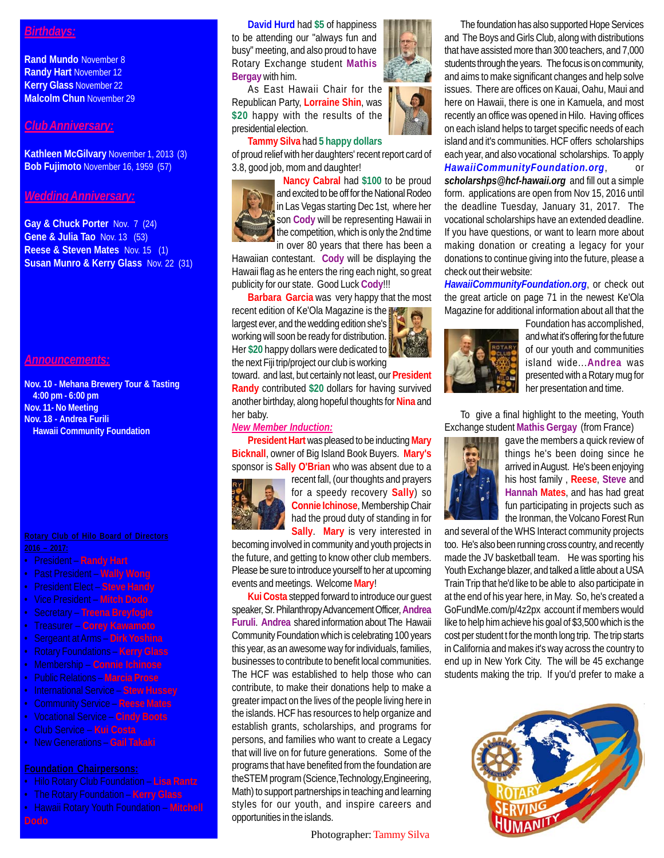# *Birthdays:*

**Rand Mundo** November 8 **Randy Hart** November 12 **Kerry Glass** November 22 **Malcolm Chun** November 29

#### *Club Anniversary:*

**Kathleen McGilvary** November 1, 2013 (3) **Bob Fujimoto** November 16, 1959 (57)

#### *Wedding Anniversary:*

**Gay & Chuck Porter** Nov. 7 (24) **Gene & Julia Tao** Nov. 13 (53) **Reese & Steven Mates** Nov. 15 (1) **Susan Munro & Kerry Glass** Nov. 22 (31)

### *Announcements:*

**Nov. 10 - Mehana Brewery Tour & Tasting 4:00 pm - 6:00 pm Nov. 11- No Meeting Nov. 18 - Andrea Furili Hawaii Community Foundation**

- President **Randy Hart**
- Past President **Wally Wong**
- President Elect **Steve Handy**
- Vice President **Mitch Dodo**
- Secretary **Treena Breyfogle**
- Treasurer **Corey Kawamoto**
- Sergeant at Arms **Dirk Yoshina**
- 
- Membership **Connie Ichinose**
- Public Relations **Marcia Prose**
- International Service **Stew Hussey**
- Community Service **Reese Mates**
- Vocational Service **Cindy Boots**
- Club Service **Kui Costa**
- New Generations **Gail Takaki**

- Hilo Rotary Club Foundation **Lisa Rantz**
- The Rotary Foundation **Kerry Glass**
- Hawaii Rotary Youth Foundation **Mitchell**

**David Hurd** had **\$5** of happiness to be attending our "always fun and busy" meeting, and also proud to have Rotary Exchange student **Mathis Bergay** with him.

As East Hawaii Chair for the Republican Party, **Lorraine Shin**, was **\$20** happy with the results of the presidential election.

#### **Tammy Silva** had **5 happy dollars**

of proud relief with her daughters' recent report card of 3.8, good job, mom and daughter!

> **Nancy Cabral** had **\$100** to be proud and excited to be off for the National Rodeo in Las Vegas starting Dec 1st, where her son **Cody** will be representing Hawaii in the competition, which is only the 2nd time in over 80 years that there has been a

Hawaiian contestant. **Cody** will be displaying the Hawaii flag as he enters the ring each night, so great publicity for our state. Good Luck **Cody**!!!

**Barbara Garcia** was very happy that the most recent edition of Ke'Ola Magazine is the largest ever, and the wedding edition she's working will soon be ready for distribution. Her **\$20** happy dollars were dedicated to the next Fiji trip/project our club is working

toward. and last, but certainly not least, our **President Randy** contributed **\$20** dollars for having survived another birthday, along hopeful thoughts for **Nina** and her baby.

### *New Member Induction:*

**President Hart** was pleased to be inducting **Mary Bicknall**, owner of Big Island Book Buyers. **Mary's** sponsor is **Sally O'Brian** who was absent due to a



recent fall, (our thoughts and prayers for a speedy recovery **Sally**) so **Connie Ichinose**, Membership Chair had the proud duty of standing in for **Sally**. **Mary** is very interested in

becoming involved in community and youth projects in the future, and getting to know other club members. Please be sure to introduce yourself to her at upcoming events and meetings. Welcome **Mary**!

**Kui Costa** stepped forward to introduce our guest speaker, Sr. Philanthropy Advancement Officer, **Andrea Furuli**. **Andrea** shared information about The Hawaii Community Foundation which is celebrating 100 years this year, as an awesome way for individuals, families, businesses to contribute to benefit local communities. The HCF was established to help those who can contribute, to make their donations help to make a greater impact on the lives of the people living here in the islands. HCF has resources to help organize and establish grants, scholarships, and programs for persons, and families who want to create a Legacy that will live on for future generations. Some of the programs that have benefited from the foundation are theSTEM program (Science,Technology,Engineering, Math) to support partnerships in teaching and learning styles for our youth, and inspire careers and opportunities in the islands.

Photographer: Tammy Silva



The foundation has also supported Hope Services and The Boys and Girls Club, along with distributions that have assisted more than 300 teachers, and 7,000 students through the years. The focus is on community, and aims to make significant changes and help solve issues. There are offices on Kauai, Oahu, Maui and here on Hawaii, there is one in Kamuela, and most recently an office was opened in Hilo. Having offices on each island helps to target specific needs of each island and it's communities. HCF offers scholarships each year, and also vocational scholarships. To apply **HawaiiCommunityFoundation.org** *scholarshps@hcf-hawaii.org* and fill out a simple form. applications are open from Nov 15, 2016 until the deadline Tuesday, January 31, 2017. The vocational scholarships have an extended deadline. If you have questions, or want to learn more about making donation or creating a legacy for your donations to continue giving into the future, please a check out their website:

*HawaiiCommunityFoundation.org*, or check out the great article on page 71 in the newest Ke'Ola Magazine for additional information about all that the



Foundation has accomplished, and what it's offering for the future of our youth and communities island wide...**Andrea** was presented with a Rotary mug for her presentation and time.

To give a final highlight to the meeting, Youth Exchange student **Mathis Gergay** (from France)



gave the members a quick review of things he's been doing since he arrived in August. He's been enjoying his host family , **Reese**, **Steve** and **Hannah Mates**, and has had great fun participating in projects such as the Ironman, the Volcano Forest Run

and several of the WHS Interact community projects too. He's also been running cross country, and recently made the JV basketball team. He was sporting his Youth Exchange blazer, and talked a little about a USA Train Trip that he'd like to be able to also participate in at the end of his year here, in May. So, he's created a GoFundMe.com/p/4z2px account if members would like to help him achieve his goal of \$3,500 which is the cost per student t for the month long trip. The trip starts in California and makes it's way across the country to end up in New York City. The will be 45 exchange students making the trip. If you'd prefer to make a